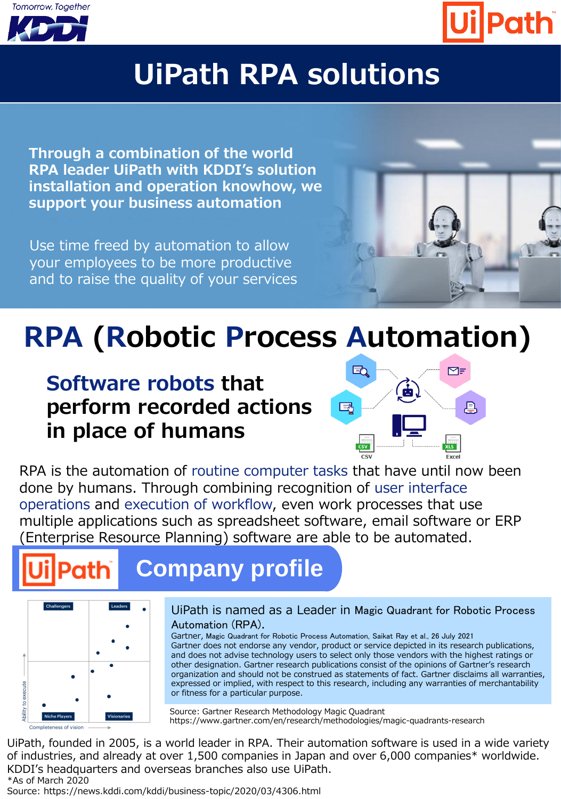



### **uiPath RPA solutions**

**Through a combination of the world RPA leader UiPath with KDDI's solution installation and operation knowhow, we support your business automation**

Use time freed by automation to allow your employees to be more productive and to raise the quality of your services



## **RPA (Robotic Process Automation)**

### **Software robots that perform recorded actions in place of humans**



RPA is the automation of routine computer tasks that have until now been done by humans. Through combining recognition of user interface operations and execution of workflow, even work processes that use multiple applications such as spreadsheet software, email software or ERP (Enterprise Resource Planning) software are able to be automated.

# **Company profile**



#### UiPath is named as a Leader in Magic Quadrant for Robotic Process Automation (RPA).

Gartner, Magic Quadrant for Robotic Process Automation, Saikat Ray et al., 26 July 2021 Gartner does not endorse any vendor, product or service depicted in its research publications, and does not advise technology users to select only those vendors with the highest ratings or other designation. Gartner research publications consist of the opinions of Gartner's research organization and should not be construed as statements of fact. Gartner disclaims all warranties, expressed or implied, with respect to this research, including any warranties of merchantability or fitness for a particular purpose.

Source: Gartner Research Methodology Magic Quadrant https://www.gartner.com/en/research/methodologies/magic-quadrants-research

UiPath, founded in 2005, is a world leader in RPA. Their automation software is used in a wide variety of industries, and already at over 1,500 companies in Japan and over 6,000 companies\* worldwide. KDDI's headquarters and overseas branches also use UiPath. \*As of March 2020

Source: https://news.kddi.com/kddi/business-topic/2020/03/4306.html